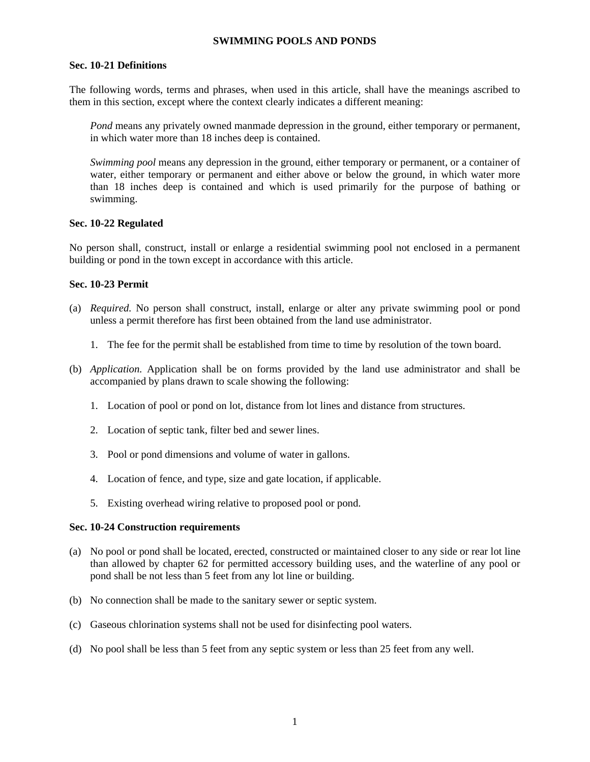#### **SWIMMING POOLS AND PONDS**

#### **Sec. 10-21 Definitions**

The following words, terms and phrases, when used in this article, shall have the meanings ascribed to them in this section, except where the context clearly indicates a different meaning:

*Pond* means any privately owned manmade depression in the ground, either temporary or permanent, in which water more than 18 inches deep is contained.

*Swimming pool* means any depression in the ground, either temporary or permanent, or a container of water, either temporary or permanent and either above or below the ground, in which water more than 18 inches deep is contained and which is used primarily for the purpose of bathing or swimming.

#### **Sec. 10-22 Regulated**

No person shall, construct, install or enlarge a residential swimming pool not enclosed in a permanent building or pond in the town except in accordance with this article.

#### **Sec. 10-23 Permit**

- (a) *Required.* No person shall construct, install, enlarge or alter any private swimming pool or pond unless a permit therefore has first been obtained from the land use administrator.
	- 1. The fee for the permit shall be established from time to time by resolution of the town board.
- (b) *Application.* Application shall be on forms provided by the land use administrator and shall be accompanied by plans drawn to scale showing the following:
	- 1. Location of pool or pond on lot, distance from lot lines and distance from structures.
	- 2. Location of septic tank, filter bed and sewer lines.
	- 3. Pool or pond dimensions and volume of water in gallons.
	- 4. Location of fence, and type, size and gate location, if applicable.
	- 5. Existing overhead wiring relative to proposed pool or pond.

#### **Sec. 10-24 Construction requirements**

- (a) No pool or pond shall be located, erected, constructed or maintained closer to any side or rear lot line than allowed by chapter 62 for permitted accessory building uses, and the waterline of any pool or pond shall be not less than 5 feet from any lot line or building.
- (b) No connection shall be made to the sanitary sewer or septic system.
- (c) Gaseous chlorination systems shall not be used for disinfecting pool waters.
- (d) No pool shall be less than 5 feet from any septic system or less than 25 feet from any well.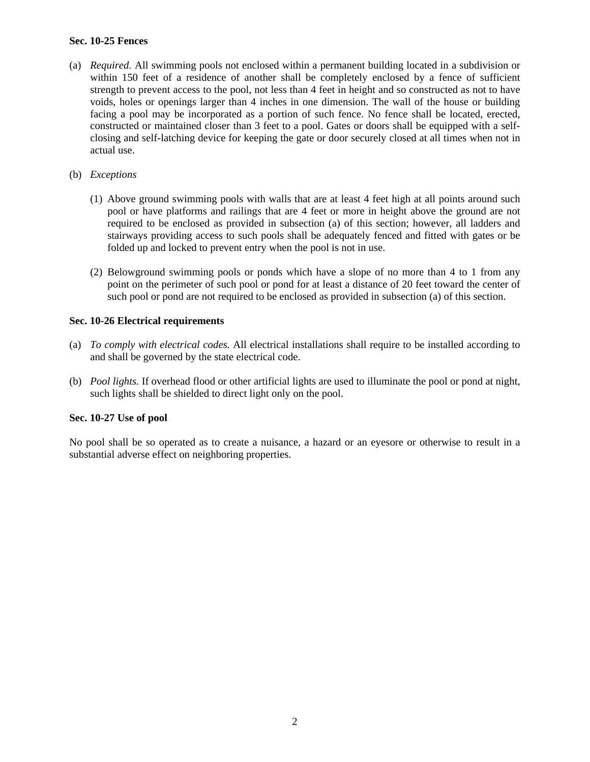## **Sec. 10-25 Fences**

- (a) *Required.* All swimming pools not enclosed within a permanent building located in a subdivision or within 150 feet of a residence of another shall be completely enclosed by a fence of sufficient strength to prevent access to the pool, not less than 4 feet in height and so constructed as not to have voids, holes or openings larger than 4 inches in one dimension. The wall of the house or building facing a pool may be incorporated as a portion of such fence. No fence shall be located, erected, constructed or maintained closer than 3 feet to a pool. Gates or doors shall be equipped with a selfclosing and self-latching device for keeping the gate or door securely closed at all times when not in actual use.
- (b) *Exceptions* 
	- (1) Above ground swimming pools with walls that are at least 4 feet high at all points around such pool or have platforms and railings that are 4 feet or more in height above the ground are not required to be enclosed as provided in subsection (a) of this section; however, all ladders and stairways providing access to such pools shall be adequately fenced and fitted with gates or be folded up and locked to prevent entry when the pool is not in use.
	- (2) Belowground swimming pools or ponds which have a slope of no more than 4 to 1 from any point on the perimeter of such pool or pond for at least a distance of 20 feet toward the center of such pool or pond are not required to be enclosed as provided in subsection (a) of this section.

#### **Sec. 10-26 Electrical requirements**

- (a) *To comply with electrical codes.* All electrical installations shall require to be installed according to and shall be governed by the state electrical code.
- (b) *Pool lights.* If overhead flood or other artificial lights are used to illuminate the pool or pond at night, such lights shall be shielded to direct light only on the pool.

## **Sec. 10-27 Use of pool**

No pool shall be so operated as to create a nuisance, a hazard or an eyesore or otherwise to result in a substantial adverse effect on neighboring properties.